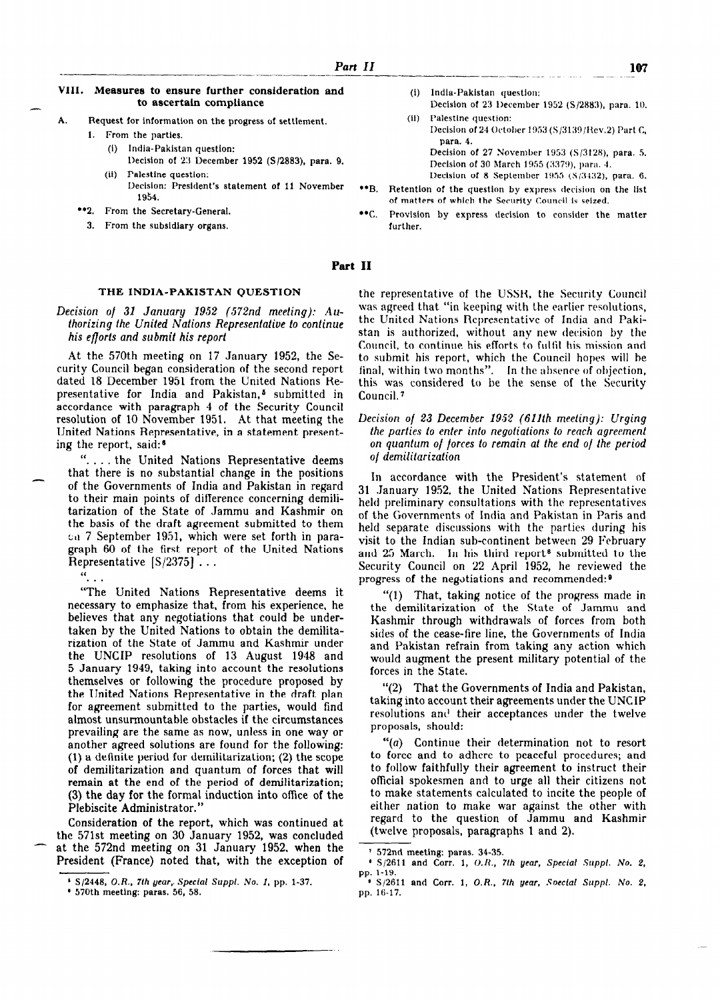- A. Request for information on the progress of settlement.
	- 1. From the parties.
		- (1) India-Pakistan question: Decision of 213 December 1952 (S/2883), para. 9.
		- (ii) Palestlne question: Decision: President's statement of 11 November  $\bullet$ R 1934.
	- **\*\*2.** From the Secretary-General.  $\bullet \bullet C$ .
		- 3. From the subsldlary organs.
- 107
- (I) Indla-Pakistan question: Decision of 23 I)eccmber 1952 (S/2883), para. 10. (ii) Palestine question: Decision of 24 October 1953 (S/3139/Rev.2) Part C, para. 4.

Decision of 27 November 1953 (S/3128), para. 5. Decision of 30 March 1955 (3379), para. 4. Decision of 8 September 1955  $(S/3432)$ , para. 6.

- Retention of the questlon by express derision on the list of matters of which the Security Council is seized.
- Provision by express decision to consider the matter further.

### Part II

# THE INDIA-PAKISTAN QUESTION

Decision of 31 January 1952 (572nd meeting):  $Au$ thorizing fhe United Nations Represeniatiue lo conlinue his efforts and submit his report

At the 570th meeting on 17 January 1952, the Security Council began consideration of the second report dated 18 December 1951 from the United Nations Representative for India and Pakistan,<sup>5</sup> submitted in accordance with paragraph 4 of the Security Council resolution of 10 November 1951. At that meeting the United Nations Representative, in a statement presenting the report, said:<sup>6</sup>

ne report, said.<br>" the United Nations Representative deems that there is no substantial change in the positions of the Governments of India and Pakistan in regard to their main points of difference concerning demilitarization of the State of Jammu and Kashmir on the basis of the draft agreement submitted to them on 7 September 1951, which were set forth in paragraph 60 of the first report of the United Nations Representative  $[S/2375]$ ...

 $\mathbf{a}_{\mathbf{a},\mathbf{b},\mathbf{c}}$ 

"The United Nations Representative deems it necessary to emphasize that, from his experience, he necessary to emphasize that, from ms experience, ne taken by the United Nations to obtain the demilitataken by the United Nations to obtain the demilita-<br>rization of the State of Jammu and Kashmir under the UNCIP resolutions of 13 August 1948 and 5 January 1949, taking into account the resolutions themselves or following the procedure proposed by the United Nations Depresentative in the draft plan the United Nations Representative in the draft plan for agreement submitted to the parties, would find almost unsurmountable obstacles if the circumstances prevailing are the same as now, unless in one way or another agreed solutions are found for the following:  $(1)$  a definite period for demilitarization;  $(2)$  the scope of demilitarization and quantum of forces that will remain at the end of the period of demilitarization; (3) the day for the formal induction into office of the Plebiscite Administrator."

Consideration of the report, which was continued at the 571st meeting on 30 January 1952, was concluded at the 572nd meeting on 31 January 1952, when the President (France) noted that, with the exception of the representative of the USSR, the Security Council was agreed that "in keeping with the earlier resolutions, the United Nations Representative of India and Paki stan is authorized, without any new decision by the Council, to continue his efforts to fullil his mission and to submit his report, which the Council hopes will be final, within two months". In Ihe absence of objection, this was considered to be the sense of the Security Council. 7

Decision of 23 December 1952 (611th meeling): Urging the parties lo enter into negoliafions lo reach agreement on quantum of forces lo remain al Ihe end of the period of demilitarization

In accordance with the President's statement of 31 .January 1952, the United Nations Representative held preliminary consultations with the representatives of the Governments of India and Pakistan in Paris and held separate discussions with the parties during his visit to the Indian sub-continent between 29 February and 25 March. In his third report<sup>8</sup> submitted to the Security Council on 22 April 1952, he reviewed the progress of the negotiations and recommended:<sup>9</sup>

"(1) That, taking notice of the progress made in the demilitarization of the State of Jammu and the uemmtarization of the state of sammu and<br>Kochmir through withdrawals of forces from both sides of the cease-fire line, the Governments of India and Dakistan refrain from taking any action which and I anistan refrain from taning any action which would augment the present military potential of the forces in the State.

 $\mathcal{L}(2)$  That the Governments of India and Pakistan, (2) That the GOVERnments of Thuia and Pakistan,<br>taking into account their agreements under the UNCIP taking into account their agreements under the UNCIP resolutions and their acceptances under the twelve proposals, should:

"(a) Continue their determination not to resort  $\alpha$   $\alpha$  continue their determination not to resort to force and to adhere to peaceful procedures; and to follow faithfully their agreement to instruct their official spokesment and to urge all their citizens not to make statements calculated to incite the people of either nation to make war against the other with regard to the question of Jammu and Kashmir (twelve proposals, paragraphs 1 and 2).

I S/2448, O.R., 7th year,. Special Suppl. No. 1, pp. l-37. 1, pp. l-37. 1, pp. l-37. 1, pp. l-37. 1, pp. l-37. ' 5/446, O.R., *in year, 5pect* 

<sup>1 572</sup> nd meeting: paras. 34-35. 34-35. 34-35. 34-35. 34-35. 34-35. 34-35. 34-35. 34-35. 34-35. 34-35. 34-35. 3  $\alpha$  S/2nd meeting: paras. 34-35.

<sup>&</sup>lt;sup>4</sup> S/2611 and Corr. 1, O.R., 7th year, Special Suppl. No. 2, g  $S<sub>1</sub>$ ,  $1-19$ ,  $2-19$ ,  $3-19$ ,  $3-19$ ,  $3-19$ ,  $3-19$ ,  $3-19$ ,  $3-19$ ,  $3-19$ ,  $3-19$ ,  $3-19$ ,  $3-19$ ,  $3-19$ ,  $3-19$ ,  $3-19$ ,  $3-19$ ,  $3-19$ ,  $3-19$ ,  $3-19$ ,  $3-19$ ,  $3-19$ ,  $3-19$ ,  $3-19$ ,  $3-19$ ,  $3-19$ ,  $3-19$ ,

**p**  $\frac{1}{6}$ . pp. 16-17.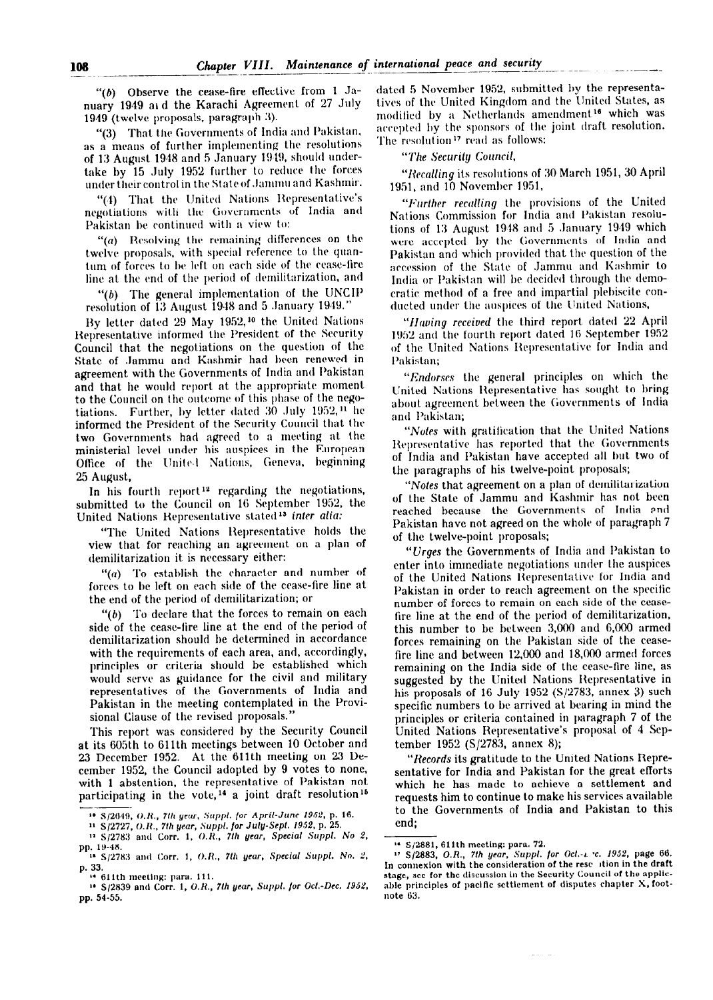"(b) Observe the cease-fire effective from 1 January 1949 at d the Karachi Agreement of 27 July 1949 (twelve proposals, paragraph 3).

That the Governments of India and Pakistan, "(3) as a means of further implementing the resolutions of 13 August 1948 and 5 January 1949, should undertake by 15 July 1952 further to reduce the forces under their control in the State of Jammu and Kashmir.

"(4) That the United Nations Representative's negotiations with the Governments of India and Pakistan be continued with a view to:

"(a) Resolving the remaining differences on the twelve proposals, with special reference to the quantum of forces to be left on each side of the cease-fire line at the end of the period of demilitarization, and

The general implementation of the UNCIP b). resolution of 13 August 1948 and 5 January 1949."

By letter dated 29 May 1952,<sup>10</sup> the United Nations Representative informed the President of the Security Council that the negotiations on the question of the State of Jammu and Kashmir had been renewed in agreement with the Governments of India and Pakistan and that he would report at the appropriate moment to the Council on the outcome of this phase of the negotiations. Further, by letter dated 30 July 1952,<sup>11</sup> he informed the President of the Security Council that the two Governments had agreed to a meeting at the ministerial level under his auspices in the European Office of the United Nations, Geneva, beginning 25 August,

In his fourth report<sup>12</sup> regarding the negotiations, submitted to the Council on 16 September 1952, the United Nations Representative stated<sup>13</sup> inter alia:

"The United Nations Representative holds the view that for reaching an agreement on a plan of demilitarization it is necessary either:

" $(a)$  To establish the character and number of forces to be left on each side of the cease-fire line at the end of the period of demilitarization; or

" $(b)$  To declare that the forces to remain on each side of the cease-fire line at the end of the period of demilitarization should be determined in accordance with the requirements of each area, and, accordingly, principles or criteria should be established which would serve as guidance for the civil and military representatives of the Governments of India and Pakistan in the meeting contemplated in the Provisional Clause of the revised proposals."

This report was considered by the Security Council at its 605th to 611th meetings between 10 October and 23 December 1952. At the 611th meeting on 23 December 1952, the Council adopted by 9 votes to none, with 1 abstention, the representative of Pakistan not participating in the vote,<sup>14</sup> a joint draft resolution<sup>15</sup>

<sup>12</sup> S/2783 and Corr. 1, O.R., 7th year, Special Suppl. No 2,

dated 5 November 1952, submitted by the representatives of the United Kingdom and the United States, as modified by a Netherlands amendment<sup>16</sup> which was accepted by the sponsors of the joint draft resolution. The resolution<sup>17</sup> read as follows:

"The Security Council.

"Recalling its resolutions of 30 March 1951, 30 April 1951, and 10 November 1951,

"Further recalling the provisions of the United Nations Commission for India and Pakistan resolutions of 13 August 1948 and 5 January 1949 which were accepted by the Governments of India and Pakistan and which provided that the question of the accession of the State of Jammu and Kashmir to India or Pakistan will be decided through the democratic method of a free and impartial plebiscite conducted under the auspices of the United Nations,

"Having received the third report dated 22 April 1952 and the fourth report dated 16 September 1952 of the United Nations Representative for India and Pakistan;

"Endorses the general principles on which the United Nations Representative has sought to bring about agreement between the Governments of India and Pakistan;

"Notes with gratification that the United Nations Representative has reported that the Governments of India and Pakistan have accepted all but two of the paragraphs of his twelve-point proposals;

"Notes that agreement on a plan of demilitarization of the State of Jammu and Kashmir has not been reached because the Governments of India and Pakistan have not agreed on the whole of paragraph 7 of the twelve-point proposals;

"*Urges* the Governments of India and Pakistan to enter into immediate negotiations under the auspices of the United Nations Representative for India and Pakistan in order to reach agreement on the specific number of forces to remain on each side of the ceasefire line at the end of the period of demilitarization, this number to be between 3,000 and 6,000 armed forces remaining on the Pakistan side of the ceasefire line and between 12,000 and 18,000 armed forces remaining on the India side of the cease-fire line, as suggested by the United Nations Representative in his proposals of 16 July 1952 ( $S/2783$ , annex 3) such specific numbers to be arrived at bearing in mind the principles or criteria contained in paragraph 7 of the United Nations Representative's proposal of 4 September 1952 ( $S/2783$ , annex 8);

"Records its gratitude to the United Nations Representative for India and Pakistan for the great efforts which he has made to achieve a settlement and requests him to continue to make his services available to the Governments of India and Pakistan to this end;

<sup>&</sup>lt;sup>10</sup> S/2649, O.R., 7th year, Suppl. for April-June 1952, p. 16.

<sup>&</sup>lt;sup>11</sup> S/2727, O.R., 7th year, Suppl. for July-Sept. 1952, p. 25.

pp. 19-48.<br>18 S/2783 and Corr. 1, O.R., 7th year, Special Suppl. No. 2, p. 33.

<sup>&</sup>lt;sup>4</sup> 611th meeting: para. 111.

<sup>&</sup>lt;sup>18</sup> S/2839 and Corr. 1, O.R., 7th year, Suppl. for Oct.-Dec. 1952, pp. 54-55.

<sup>&</sup>lt;sup>16</sup> S/2881, 611th meeting: para. 72.

<sup>&</sup>lt;sup>11</sup> S/2883, O.R., 7th year, Suppl. for Oct. 1: 1952, page 66. In connexion with the consideration of the rese ition in the draft stage, see for the discussion in the Security Council of the applicable principles of pacific settlement of disputes chapter X, footnote 63.